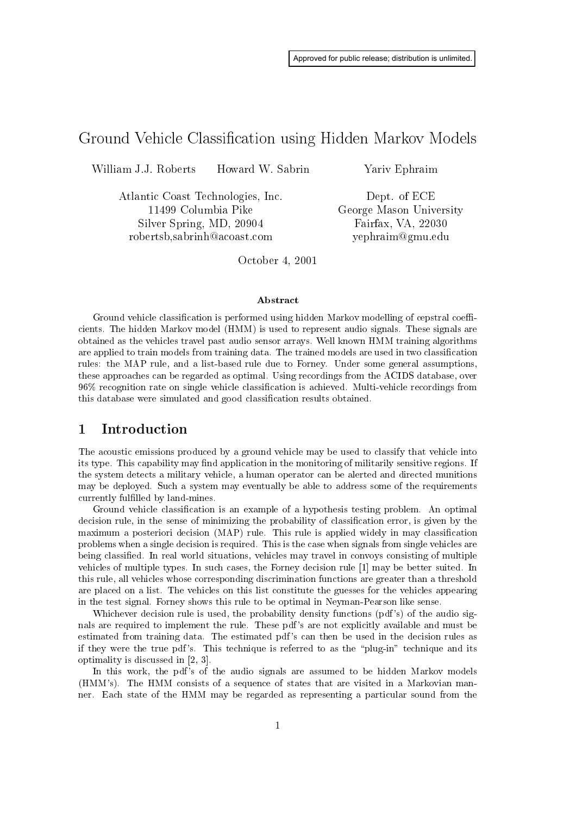# Ground Vehicle Classification using Hidden Markov Models

William J.J. Roberts Howard W. Sabrin

> Atlantic Coast Technologies, Inc. 11499 Columbia Pike Silver Spring, MD, 20904 robertsb,sabrinh@acoast.com

Yariv Ephraim

Dept. of ECE George Mason University Fairfax, VA, 22030 yephraim@gmu.edu

October 4, 2001

# Abstract

Ground vehicle classification is performed using hidden Markov modelling of cepstral coefficients. The hidden Markov model (HMM) is used to represent audio signals. These signals are obtained as the vehicles travel past audio sensor arrays. Well known HMM training algorithms are applied to train models from training data. The trained models are used in two classification rules: the MAP rule, and a list-based rule due to Forney. Under some general assumptions, these approaches can be regarded as optimal. Using recordings from the ACIDS database, over 96% recognition rate on single vehicle classification is achieved. Multi-vehicle recordings from this database were simulated and good classification results obtained.

### $\mathbf{1}$ Introduction

The acoustic emissions produced by a ground vehicle may be used to classify that vehicle into its type. This capability may find application in the monitoring of militarily sensitive regions. If the system detects a military vehicle, a human operator can be alerted and directed munitions may be deployed. Such a system may eventually be able to address some of the requirements currently fulfilled by land-mines.

Ground vehicle classification is an example of a hypothesis testing problem. An optimal decision rule, in the sense of minimizing the probability of classification error, is given by the maximum a posteriori decision (MAP) rule. This rule is applied widely in may classification problems when a single decision is required. This is the case when signals from single vehicles are being classified. In real world situations, vehicles may travel in convoys consisting of multiple vehicles of multiple types. In such cases, the Forney decision rule [1] may be better suited. In this rule, all vehicles whose corresponding discrimination functions are greater than a threshold are placed on a list. The vehicles on this list constitute the guesses for the vehicles appearing in the test signal. Forney shows this rule to be optimal in Neyman-Pearson like sense.

Whichever decision rule is used, the probability density functions (pdf's) of the audio signals are required to implement the rule. These pdf's are not explicitly available and must be estimated from training data. The estimated pdf's can then be used in the decision rules as if they were the true pdf's. This technique is referred to as the "plug-in" technique and its optimality is discussed in  $[2, 3]$ .

In this work, the pdf's of the audio signals are assumed to be hidden Markov models (HMM's). The HMM consists of a sequence of states that are visited in a Markovian manner. Each state of the HMM may be regarded as representing a particular sound from the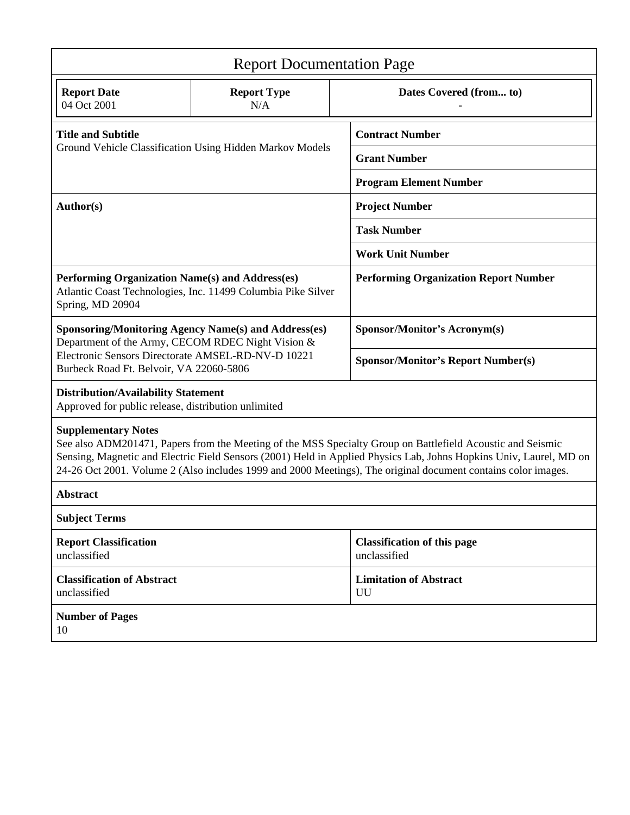| <b>Report Documentation Page</b>                                                                                                                                                                                                                                                                                                                                                                                                                                                                                                                                                                                                                     |                           |                                                    |
|------------------------------------------------------------------------------------------------------------------------------------------------------------------------------------------------------------------------------------------------------------------------------------------------------------------------------------------------------------------------------------------------------------------------------------------------------------------------------------------------------------------------------------------------------------------------------------------------------------------------------------------------------|---------------------------|----------------------------------------------------|
| <b>Report Date</b><br>04 Oct 2001                                                                                                                                                                                                                                                                                                                                                                                                                                                                                                                                                                                                                    | <b>Report Type</b><br>N/A | Dates Covered (from to)                            |
| <b>Title and Subtitle</b>                                                                                                                                                                                                                                                                                                                                                                                                                                                                                                                                                                                                                            |                           | <b>Contract Number</b>                             |
| Ground Vehicle Classification Using Hidden Markov Models<br>Author(s)<br>Performing Organization Name(s) and Address(es)<br>Spring, MD 20904<br><b>Sponsoring/Monitoring Agency Name(s) and Address(es)</b><br>Department of the Army, CECOM RDEC Night Vision &<br>Electronic Sensors Directorate AMSEL-RD-NV-D 10221<br>Burbeck Road Ft. Belvoir, VA 22060-5806<br><b>Distribution/Availability Statement</b><br>Approved for public release, distribution unlimited<br><b>Supplementary Notes</b><br><b>Abstract</b><br><b>Subject Terms</b><br><b>Report Classification</b><br>unclassified<br><b>Classification of Abstract</b><br>unclassified | <b>Grant Number</b>       |                                                    |
|                                                                                                                                                                                                                                                                                                                                                                                                                                                                                                                                                                                                                                                      |                           | <b>Program Element Number</b>                      |
|                                                                                                                                                                                                                                                                                                                                                                                                                                                                                                                                                                                                                                                      |                           | <b>Project Number</b>                              |
|                                                                                                                                                                                                                                                                                                                                                                                                                                                                                                                                                                                                                                                      |                           | <b>Task Number</b>                                 |
|                                                                                                                                                                                                                                                                                                                                                                                                                                                                                                                                                                                                                                                      |                           | <b>Work Unit Number</b>                            |
| Atlantic Coast Technologies, Inc. 11499 Columbia Pike Silver                                                                                                                                                                                                                                                                                                                                                                                                                                                                                                                                                                                         |                           | <b>Performing Organization Report Number</b>       |
|                                                                                                                                                                                                                                                                                                                                                                                                                                                                                                                                                                                                                                                      |                           | Sponsor/Monitor's Acronym(s)                       |
|                                                                                                                                                                                                                                                                                                                                                                                                                                                                                                                                                                                                                                                      |                           | <b>Sponsor/Monitor's Report Number(s)</b>          |
|                                                                                                                                                                                                                                                                                                                                                                                                                                                                                                                                                                                                                                                      |                           |                                                    |
| See also ADM201471, Papers from the Meeting of the MSS Specialty Group on Battlefield Acoustic and Seismic<br>Sensing, Magnetic and Electric Field Sensors (2001) Held in Applied Physics Lab, Johns Hopkins Univ, Laurel, MD on<br>24-26 Oct 2001. Volume 2 (Also includes 1999 and 2000 Meetings), The original document contains color images.                                                                                                                                                                                                                                                                                                    |                           |                                                    |
|                                                                                                                                                                                                                                                                                                                                                                                                                                                                                                                                                                                                                                                      |                           |                                                    |
|                                                                                                                                                                                                                                                                                                                                                                                                                                                                                                                                                                                                                                                      |                           |                                                    |
|                                                                                                                                                                                                                                                                                                                                                                                                                                                                                                                                                                                                                                                      |                           | <b>Classification of this page</b><br>unclassified |
|                                                                                                                                                                                                                                                                                                                                                                                                                                                                                                                                                                                                                                                      |                           | <b>Limitation of Abstract</b><br>UU                |
| <b>Number of Pages</b><br>10                                                                                                                                                                                                                                                                                                                                                                                                                                                                                                                                                                                                                         |                           |                                                    |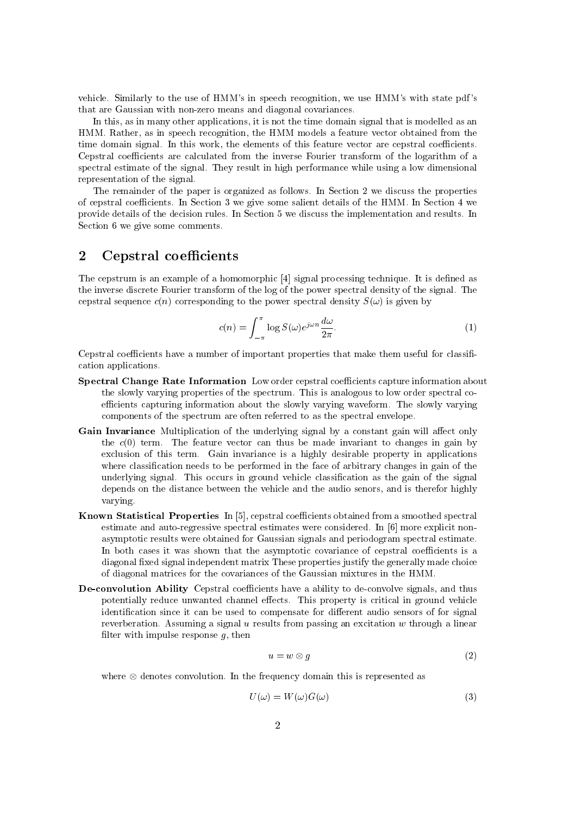vehicle. Similarly to the use of HMM's in speech recognition, we use HMM's with state pdf's that are Gaussian with non-zero means and diagonal covariances.

In this, as in many other applications, it is not the time domain signal that is modelled as an HMM. Rather, as in speech recognition, the HMM models a feature vector obtained from the time domain signal. In this work, the elements of this feature vector are cepstral coefficients. Cepstral coefficients are calculated from the inverse Fourier transform of the logarithm of a spectral estimate of the signal. They result in high performance while using a low dimensional representation of the signal.

The remainder of the paper is organized as follows. In Section 2 we discuss the properties of cepstral coefficients. In Section 3 we give some salient details of the HMM. In Section 4 we provide details of the decision rules. In Section 5 we discuss the implementation and results. In Section 6 we give some comments.

# $\overline{2}$ Cepstral coefficients

The cepstrum is an example of a homomorphic [4] signal processing technique. It is defined as the inverse discrete Fourier transform of the log of the power spectral density of the signal. The cepstral sequence  $c(n)$  corresponding to the power spectral density  $S(\omega)$  is given by

$$
c(n) = \int_{-\pi}^{\pi} \log S(\omega) e^{j\omega n} \frac{d\omega}{2\pi}.
$$
 (1)

Cepstral coefficients have a number of important properties that make them useful for classification applications.

- Spectral Change Rate Information Low order cepstral coefficients capture information about the slowly varying properties of the spectrum. This is analogous to low order spectral coefficients capturing information about the slowly varying waveform. The slowly varying components of the spectrum are often referred to as the spectral envelope.
- Gain Invariance Multiplication of the underlying signal by a constant gain will affect only the  $c(0)$  term. The feature vector can thus be made invariant to changes in gain by exclusion of this term. Gain invariance is a highly desirable property in applications where classification needs to be performed in the face of arbitrary changes in gain of the underlying signal. This occurs in ground vehicle classification as the gain of the signal depends on the distance between the vehicle and the audio senors, and is therefor highly varying.
- **Known Statistical Properties** In [5], cepstral coefficients obtained from a smoothed spectral estimate and auto-regressive spectral estimates were considered. In [6] more explicit nonasymptotic results were obtained for Gaussian signals and periodogram spectral estimate. In both cases it was shown that the asymptotic covariance of cepstral coefficients is a diagonal fixed signal independent matrix These properties justify the generally made choice of diagonal matrices for the covariances of the Gaussian mixtures in the HMM.
- **De-convolution Ability** Cepstral coefficients have a ability to de-convolve signals, and thus potentially reduce unwanted channel effects. This property is critical in ground vehicle identification since it can be used to compensate for different audio sensors of for signal reverberation. Assuming a signal  $u$  results from passing an excitation  $w$  through a linear filter with impulse response  $q$ , then

$$
u = w \otimes g \tag{2}
$$

where  $\otimes$  denotes convolution. In the frequency domain this is represented as

$$
U(\omega) = W(\omega)G(\omega) \tag{3}
$$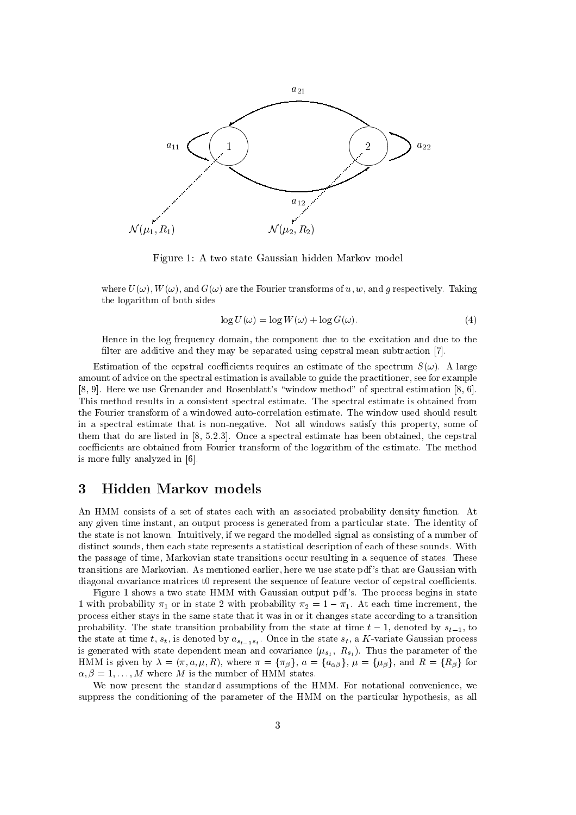

Figure 1: A two state Gaussian hidden Markov model

where  $U(\omega)$ ,  $W(\omega)$ , and  $G(\omega)$  are the Fourier transforms of u, w, and g respectively. Taking the logarithm of both sides

$$
\log U(\omega) = \log W(\omega) + \log G(\omega). \tag{4}
$$

Hence in the log frequency domain, the component due to the excitation and due to the filter are additive and they may be separated using cepstral mean subtraction [7].

Estimation of the central coefficients requires an estimate of the spectrum  $S(\omega)$ . A large amount of advice on the spectral estimation is available to guide the practitioner, see for example [8, 9]. Here we use Grenander and Rosenblatt's "window method" of spectral estimation [8, 6]. This method results in a consistent spectral estimate. The spectral estimate is obtained from the Fourier transform of a windowed auto-correlation estimate. The window used should result in a spectral estimate that is non-negative. Not all windows satisfy this property, some of them that do are listed in  $[8, 5.2.3]$ . Once a spectral estimate has been obtained, the cepstral coefficients are obtained from Fourier transform of the logarithm of the estimate. The method is more fully analyzed in [6].

# 3 Hidden Markov models

An HMM consists of a set of states each with an associated probability density function. At any given time instant, an output process is generated from a particular state. The identity of the state is not known. Intuitively, if we regard the modelled signal as consisting of a number of distinct sounds, then each state represents a statistical description of each of these sounds. With the passage of time, Markovian state transitions occur resulting in a sequence of states. These transitions are Markovian. As mentioned earlier, here we use state pdf's that are Gaussian with diagonal covariance matrices t0 represent the sequence of feature vector of cepstral coefficients.

Figure 1 shows a two state HMM with Gaussian output pdf's. The process begins in state 1 with probability  $\pi_1$  or in state 2 with probability  $\pi_2 = 1 - \pi_1$ . At each time increment, the process either stays in the same state that it was in or it changes state according to a transition probability. The state transition probability from the state at time  $t-1$ , denoted by  $s_{t-1}$ , to the state at time t,  $s_t$ , is denoted by  $a_{s_{t-1}s_t}$ . Once in the state  $s_t$ , a K-variate Gaussian process is generated with state dependent mean and covariance  $(\mu_{s_t}, R_{s_t})$ . Thus the parameter of the HMM is given by  $\lambda = (\pi, a, \mu, R)$ , where  $\pi = {\pi_{\beta}}$ ,  $a = {\alpha_{\alpha\beta}}$ ,  $\mu = {\mu_{\beta}}$ , and  $R = {R_{\beta}}$  for  $\alpha, \beta = 1, \ldots, M$  where M is the number of HMM states.

We now present the standard assumptions of the HMM. For notational convenience, we suppress the conditioning of the parameter of the HMM on the particular hypothesis, as all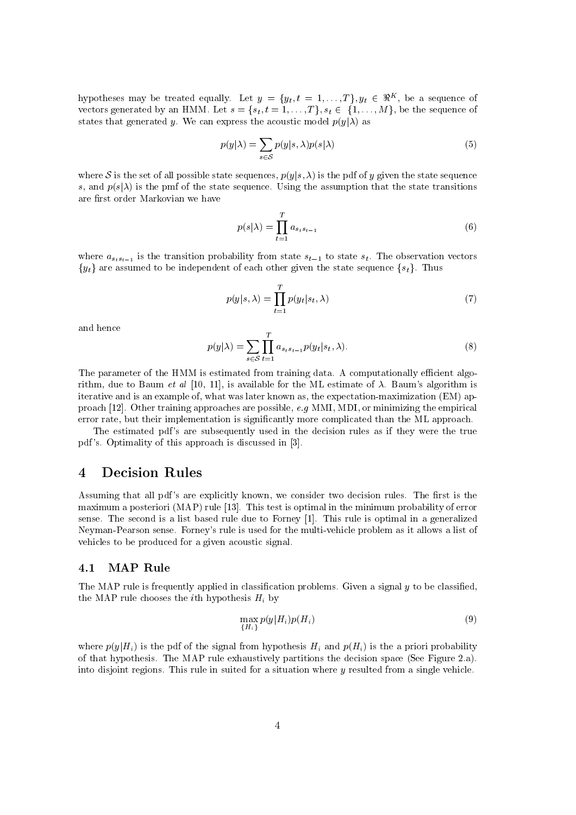hypotheses may be treated equally. Let  $y = \{y_t, t = 1, ..., T\}$ ,  $y_t \in \Re^K$ , be a sequence of vectors generated by an HMM. Let  $s = \{s_t, t = 1, ..., T\}, s_t \in \{1, ..., M\}$ , be the sequence of states that generated y. We can express the acoustic model  $p(y|\lambda)$  as

$$
p(y|\lambda) = \sum_{s \in \mathcal{S}} p(y|s, \lambda) p(s|\lambda)
$$
\n(5)

where S is the set of all possible state sequences,  $p(y|s, \lambda)$  is the pdf of y given the state sequence s, and  $p(s|\lambda)$  is the pmf of the state sequence. Using the assumption that the state transitions are first order Markovian we have

$$
p(s|\lambda) = \prod_{t=1}^{T} a_{s_ts_{t-1}} \tag{6}
$$

where  $a_{s_ts_{t-1}}$  is the transition probability from state  $s_{t-1}$  to state  $s_t$ . The observation vectors  $\{y_t\}$  are assumed to be independent of each other given the state sequence  $\{s_t\}$ . Thus

$$
p(y|s,\lambda) = \prod_{t=1}^{T} p(y_t|s_t,\lambda)
$$
\n(7)

and hence

$$
p(y|\lambda) = \sum_{s \in \mathcal{S}} \prod_{t=1}^{T} a_{s_t s_{t-1}} p(y_t | s_t, \lambda).
$$
 (8)

The parameter of the HMM is estimated from training data. A computationally efficient algorithm, due to Baum *et al* [10, 11], is available for the ML estimate of  $\lambda$ . Baum's algorithm is iterative and is an example of, what was later known as, the expectation-maximization (EM) approach [12]. Other training approaches are possible, e.g MMI, MDI, or minimizing the empirical error rate, but their implementation is significantly more complicated than the ML approach.

The estimated pdf's are subsequently used in the decision rules as if they were the true pdf's. Optimality of this approach is discussed in [3].

# $\overline{\mathbf{4}}$ **Decision Rules**

Assuming that all pdf's are explicitly known, we consider two decision rules. The first is the maximum a posteriori (MAP) rule [13]. This test is optimal in the minimum probability of error sense. The second is a list based rule due to Forney [1]. This rule is optimal in a generalized Neyman-Pearson sense. Forney's rule is used for the multi-vehicle problem as it allows a list of vehicles to be produced for a given acoustic signal.

#### $4.1$ **MAP** Rule

The MAP rule is frequently applied in classification problems. Given a signal y to be classified, the MAP rule chooses the *i*th hypothesis  $H_i$  by

$$
\max_{\{H_i\}} p(y|H_i)p(H_i) \tag{9}
$$

where  $p(y|H_i)$  is the pdf of the signal from hypothesis  $H_i$  and  $p(H_i)$  is the a priori probability of that hypothesis. The MAP rule exhaustively partitions the decision space (See Figure 2.a). into disjoint regions. This rule in suited for a situation where  $y$  resulted from a single vehicle.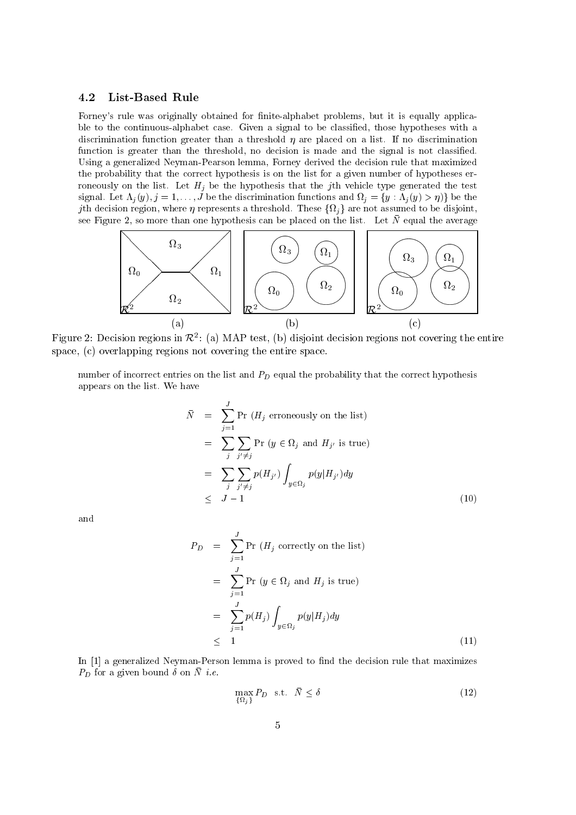#### 4.2 **List-Based Rule**

Forney's rule was originally obtained for finite-alphabet problems, but it is equally applicable to the continuous-alphabet case. Given a signal to be classified, those hypotheses with a discrimination function greater than a threshold  $\eta$  are placed on a list. If no discrimination function is greater than the threshold, no decision is made and the signal is not classified. Using a generalized Neyman-Pearson lemma, Forney derived the decision rule that maximized the probability that the correct hypothesis is on the list for a given number of hypotheses erroneously on the list. Let  $H_j$  be the hypothesis that the jth vehicle type generated the test signal. Let  $\Lambda_j(y), j = 1, \ldots, J$  be the discrimination functions and  $\Omega_j = \{y : \Lambda_j(y) > \eta\}$  be the *j*th decision region, where  $\eta$  represents a threshold. These  $\{\Omega_i\}$  are not assumed to be disjoint, see Figure 2, so more than one hypothesis can be placed on the list. Let  $\bar{N}$  equal the average



Figure 2: Decision regions in  $\mathcal{R}^2$ : (a) MAP test, (b) disjoint decision regions not covering the entire space, (c) overlapping regions not covering the entire space.

number of incorrect entries on the list and  $P_D$  equal the probability that the correct hypothesis appears on the list. We have

$$
\begin{aligned}\n\bar{N} &= \sum_{j=1}^{J} \Pr\left(H_j \text{ erroneously on the list}\right) \\
&= \sum_{j} \sum_{j' \neq j} \Pr\left(y \in \Omega_j \text{ and } H_{j'} \text{ is true}\right) \\
&= \sum_{j} \sum_{j' \neq j} p(H_{j'}) \int_{y \in \Omega_j} p(y|H_{j'}) dy \\
&\leq J - 1\n\end{aligned} \tag{10}
$$

and

$$
P_D = \sum_{j=1}^{J} \Pr(H_j \text{ correctly on the list})
$$
  
= 
$$
\sum_{j=1}^{J} \Pr(y \in \Omega_j \text{ and } H_j \text{ is true})
$$
  
= 
$$
\sum_{j=1}^{J} p(H_j) \int_{y \in \Omega_j} p(y|H_j) dy
$$
  

$$
\leq 1
$$
 (11)

In [1] a generalized Neyman-Person lemma is proved to find the decision rule that maximizes  $P_D$  for a given bound  $\delta$  on  $\overline{N}$  *i.e.* 

$$
\max_{\{\Omega_j\}} P_D \quad \text{s.t.} \quad \bar{N} \le \delta \tag{12}
$$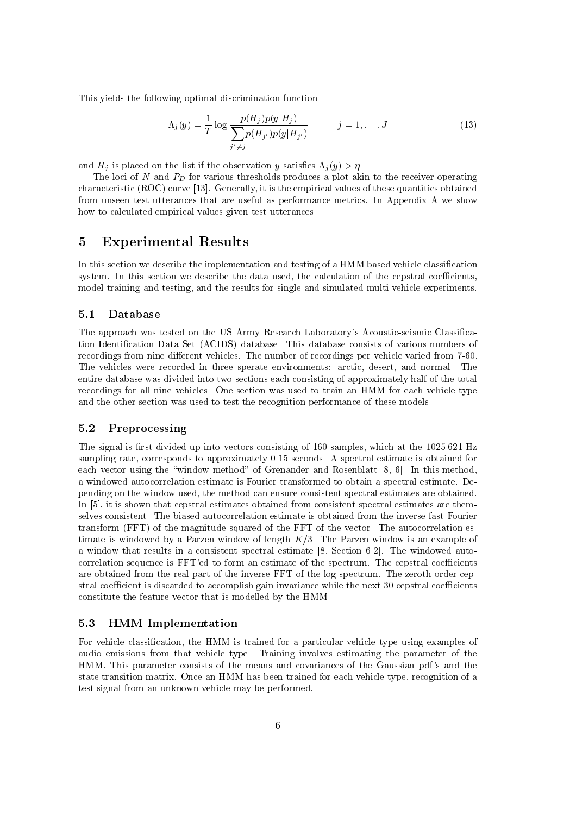This yields the following optimal discrimination function

$$
\Lambda_j(y) = \frac{1}{T} \log \frac{p(H_j)p(y|H_j)}{\sum_{j' \neq j} p(H_{j'})p(y|H_{j'})}
$$
   
  $j = 1, ..., J$  (13)

and  $H_j$  is placed on the list if the observation y satisfies  $\Lambda_j(y) > \eta$ .

The loci of  $\bar{N}$  and  $P_D$  for various thresholds produces a plot akin to the receiver operating characteristic (ROC) curve [13]. Generally, it is the empirical values of these quantities obtained from unseen test utterances that are useful as performance metrics. In Appendix A we show how to calculated empirical values given test utterances.

# $\overline{5}$ **Experimental Results**

In this section we describe the implementation and testing of a HMM based vehicle classification system. In this section we describe the data used, the calculation of the cepstral coefficients, model training and testing, and the results for single and simulated multi-vehicle experiments.

#### $5.1$ Database

The approach was tested on the US Army Research Laboratory's Acoustic-seismic Classification Identification Data Set (ACIDS) database. This database consists of various numbers of recordings from nine different vehicles. The number of recordings per vehicle varied from 7-60. The vehicles were recorded in three sperate environments: arctic, desert, and normal. The entire database was divided into two sections each consisting of approximately half of the total recordings for all nine vehicles. One section was used to train an HMM for each vehicle type and the other section was used to test the recognition performance of these models.

#### $5.2$ Preprocessing

The signal is first divided up into vectors consisting of 160 samples, which at the 1025.621 Hz sampling rate, corresponds to approximately 0.15 seconds. A spectral estimate is obtained for each vector using the "window method" of Grenander and Rosenblatt [8, 6]. In this method, a windowed autocorrelation estimate is Fourier transformed to obtain a spectral estimate. Depending on the window used, the method can ensure consistent spectral estimates are obtained. In  $[5]$ , it is shown that cepstral estimates obtained from consistent spectral estimates are themselves consistent. The biased autocorrelation estimate is obtained from the inverse fast Fourier transform (FFT) of the magnitude squared of the FFT of the vector. The autocorrelation estimate is windowed by a Parzen window of length  $K/3$ . The Parzen window is an example of a window that results in a consistent spectral estimate [8, Section 6.2]. The windowed autocorrelation sequence is FFT'ed to form an estimate of the spectrum. The cepstral coefficients are obtained from the real part of the inverse FFT of the log spectrum. The zeroth order cepstral coefficient is discarded to accomplish gain invariance while the next 30 cepstral coefficients constitute the feature vector that is modelled by the HMM.

#### $5.3$ **HMM** Implementation

For vehicle classification, the HMM is trained for a particular vehicle type using examples of audio emissions from that vehicle type. Training involves estimating the parameter of the HMM. This parameter consists of the means and covariances of the Gaussian pdf's and the state transition matrix. Once an HMM has been trained for each vehicle type, recognition of a test signal from an unknown vehicle may be performed.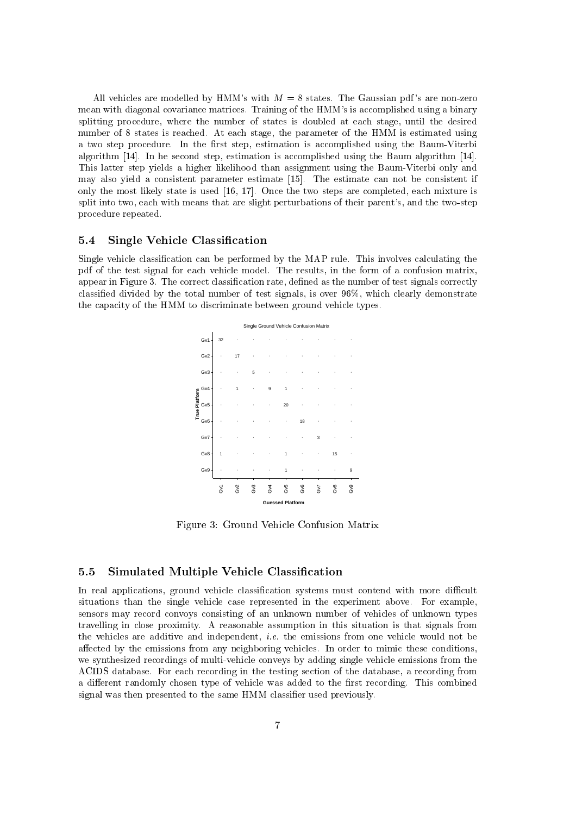All vehicles are modelled by HMM's with  $M = 8$  states. The Gaussian pdf's are non-zero mean with diagonal covariance matrices. Training of the HMM's is accomplished using a binary splitting procedure, where the number of states is doubled at each stage, until the desired number of 8 states is reached. At each stage, the parameter of the HMM is estimated using a two step procedure. In the first step, estimation is accomplished using the Baum-Viterbi algorithm  $[14]$ . In he second step, estimation is accomplished using the Baum algorithm  $[14]$ . This latter step yields a higher likelihood than assignment using the Baum-Viterbi only and may also yield a consistent parameter estimate [15]. The estimate can not be consistent if only the most likely state is used [16, 17]. Once the two steps are completed, each mixture is split into two, each with means that are slight perturbations of their parent's, and the two-step procedure repeated.

#### $5.4$ **Single Vehicle Classification**

Single vehicle classification can be performed by the MAP rule. This involves calculating the pdf of the test signal for each vehicle model. The results, in the form of a confusion matrix, appear in Figure 3. The correct classification rate, defined as the number of test signals correctly classified divided by the total number of test signals, is over 96%, which clearly demonstrate the capacity of the HMM to discriminate between ground vehicle types.



Figure 3: Ground Vehicle Confusion Matrix

#### **Simulated Multiple Vehicle Classification**  $5.5$

In real applications, ground vehicle classification systems must contend with more difficult situations than the single vehicle case represented in the experiment above. For example, sensors may record convoys consisting of an unknown number of vehicles of unknown types travelling in close proximity. A reasonable assumption in this situation is that signals from the vehicles are additive and independent, *i.e.* the emissions from one vehicle would not be affected by the emissions from any neighboring vehicles. In order to mimic these conditions, we synthesized recordings of multi-vehicle conveys by adding single vehicle emissions from the ACIDS database. For each recording in the testing section of the database, a recording from a different randomly chosen type of vehicle was added to the first recording. This combined signal was then presented to the same HMM classifier used previously.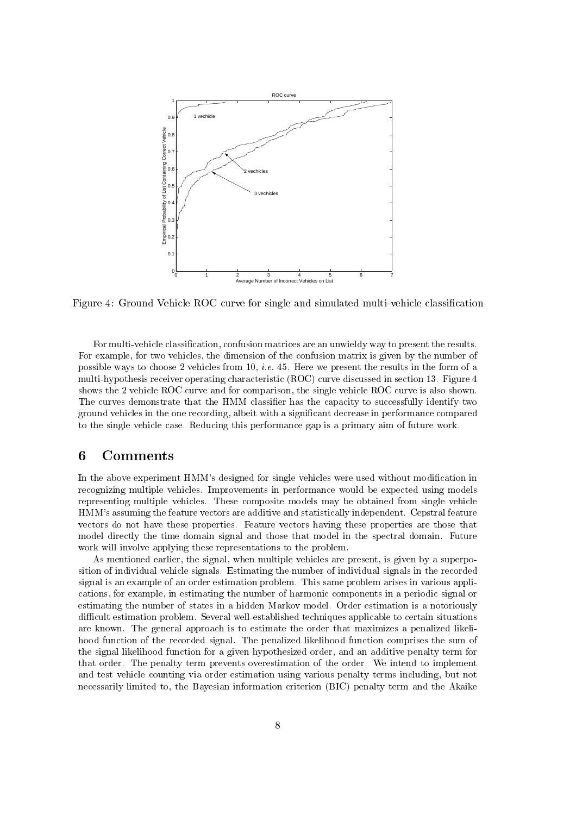

Figure 4: Ground Vehicle ROC curve for single and simulated multi-vehicle classification

For multi-vehicle classification, confusion matrices are an unwieldy way to present the results. For example, for two vehicles, the dimension of the confusion matrix is given by the number of possible ways to choose 2 vehicles from 10, *i.e.* 45. Here we present the results in the form of a multi-hypothesis receiver operating characteristic (ROC) curve discussed in section 13. Figure 4 shows the 2 vehicle ROC curve and for comparison, the single vehicle ROC curve is also shown. The curves demonstrate that the HMM classifier has the capacity to successfully identify two ground vehicles in the one recording, albeit with a significant decrease in performance compared to the single vehicle case. Reducing this performance gap is a primary aim of future work.

# 6 Comments

In the above experiment HMM's designed for single vehicles were used without modification in recognizing multiple vehicles. Improvements in performance would be expected using models representing multiple vehicles. These composite models may be obtained from single vehicle HMM's assuming the feature vectors are additive and statistically independent. Cepstral feature vectors do not have these properties. Feature vectors having these properties are those that model directly the time domain signal and those that model in the spectral domain. Future work will involve applying these representations to the problem.

As mentioned earlier, the signal, when multiple vehicles are present, is given by a superposition of individual vehicle signals. Estimating the number of individual signals in the recorded signal is an example of an order estimation problem. This same problem arises in various applications, for example, in estimating the number of harmonic components in a periodic signal or estimating the number of states in a hidden Markov model. Order estimation is a notoriously difficult estimation problem. Several well-established techniques applicable to certain situations are known. The general approach is to estimate the order that maximizes a penalized likelihood function of the recorded signal. The penalized likelihood function comprises the sum of the signal likelihood function for a given hypothesized order, and an additive penalty term for that order. The penalty term prevents overestimation of the order. We intend to implement and test vehicle counting via order estimation using various penalty terms including, but not necessarily limited to, the Bayesian information criterion (BIC) penalty term and the Akaike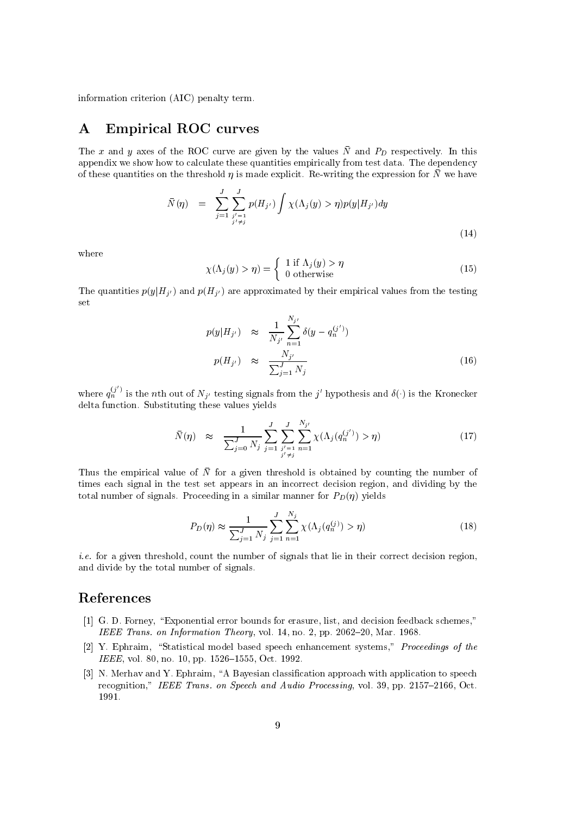information criterion (AIC) penalty term.

# **Empirical ROC curves**  $\bf{A}$

The x and y axes of the ROC curve are given by the values  $\bar{N}$  and  $P_D$  respectively. In this appendix we show how to calculate these quantities empirically from test data. The dependency of these quantities on the threshold  $\eta$  is made explicit. Re-writing the expression for  $\bar{N}$  we have

$$
\bar{N}(\eta) = \sum_{j=1}^{J} \sum_{\substack{j'=1 \\ j' \neq j}}^{J} p(H_{j'}) \int \chi(\Lambda_j(y) > \eta) p(y|H_{j'}) dy
$$
\n(14)

where

$$
\chi(\Lambda_j(y) > \eta) = \begin{cases} 1 \text{ if } \Lambda_j(y) > \eta \\ 0 \text{ otherwise} \end{cases}
$$
 (15)

The quantities  $p(y|H_{i'})$  and  $p(H_{i'})$  are approximated by their empirical values from the testing set

$$
p(y|H_{j'}) \approx \frac{1}{N_{j'}} \sum_{n=1}^{N_{j'}} \delta(y - q_n^{(j')})
$$
  

$$
p(H_{j'}) \approx \frac{N_{j'}}{\sum_{j=1}^{J} N_j}
$$
 (16)

where  $q_n^{(j')}$  is the *n*th out of  $N_{j'}$  testing signals from the j' hypothesis and  $\delta(\cdot)$  is the Kronecker delta function. Substituting these values yields

$$
\bar{N}(\eta) \approx \frac{1}{\sum_{j=0}^{J} N_j} \sum_{j=1}^{J} \sum_{\substack{j'=1 \ j \neq j}}^{J} \sum_{n=1}^{N_{j'}} \chi(\Lambda_j(q_n^{(j')}) > \eta) \tag{17}
$$

Thus the empirical value of  $\overline{N}$  for a given threshold is obtained by counting the number of times each signal in the test set appears in an incorrect decision region, and dividing by the total number of signals. Proceeding in a similar manner for  $P_D(\eta)$  yields

$$
P_D(\eta) \approx \frac{1}{\sum_{j=1}^J N_j} \sum_{j=1}^J \sum_{n=1}^{N_j} \chi(\Lambda_j(q_n^{(j)}) > \eta)
$$
\n(18)

*i.e.* for a given threshold, count the number of signals that lie in their correct decision region, and divide by the total number of signals.

# References

- [1] G. D. Forney, "Exponential error bounds for erasure, list, and decision feedback schemes," IEEE Trans. on Information Theory, vol. 14, no. 2, pp. 2062–20, Mar. 1968.
- [2] Y. Ephraim, "Statistical model based speech enhancement systems," Proceedings of the IEEE, vol. 80, no. 10, pp. 1526-1555, Oct. 1992.
- [3] N. Merhav and Y. Ephraim, "A Bayesian classification approach with application to speech recognition," IEEE Trans. on Speech and Audio Processing, vol. 39, pp. 2157-2166, Oct. 1991.